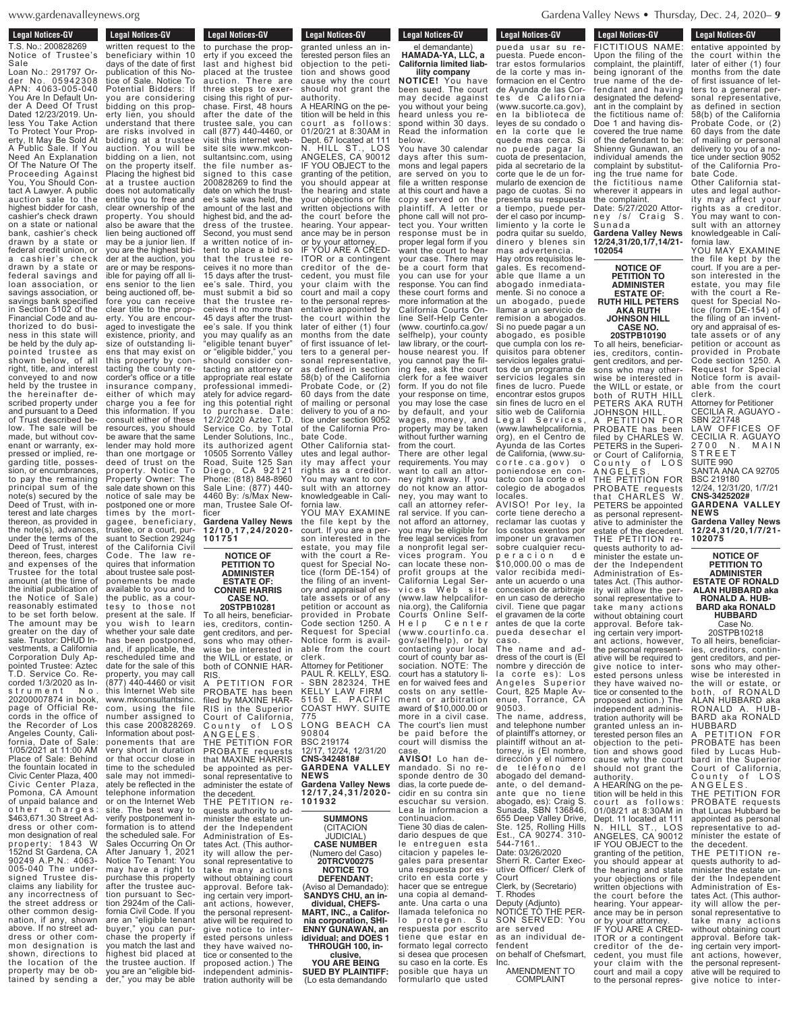**Legal Notices-GV** 

**Legal Nutries-GV** 

**Legal Notices-GV** T.S. No.: 200828269 Notice of Trustee's Sale Loan No.: 291797 Order No. 05942308 der No. 05942308<br>APN: 4063-005-040 You Are In Default Under A Deed Of Trust Dated 12/23/2019. Unless You Take Action To Protect Your Property, It May Be Sold At A Public Sale. If You Need An Explanation Of The Nature Of The Proceeding Against You, You Should Contact A Lawyer. A public auction sale to the highest bidder for cash, cashier's check drawn on a state or national bank, cashier's check drawn by a state or federal credit union, or cashier's check drawn by a state or federal savings and loan association, or savings association, or savings bank specified in Section 5102 of the Financial Code and authorized to do business in this state will be held by the duly appointed trustee as shown below, of all right, title, and interest conveyed to and now held by the trustee in the hereinafter described property under and pursuant to a Deed of Trust described below. The sale will be made, but without covenant or warranty, expressed or implied, regarding title, possession, or encumbrances, to pay the remaining principal sum of the note(s) secured by the Deed of Trust, with interest and late charges thereon, as provided in the note(s), advances, under the terms of the Deed of Trust, interest thereon, fees, charges<br>and expenses of the and expenses of Trustee for the total amount (at the time of the initial publication of the Notice of Sale) reasonably estimated to be set forth below. The amount may be greater on the day of sale. Trustor: DHUD Investments, a California Corporation Duly Appointed Trustee: Aztec T.D. Service Co. Recorded 1/3/2020 as Ins t r u m e n t N o . 20200007874 in book, page of Official Records in the office of the Recorder of Los Angeles County, Cali-fornia, Date of Sale: 1/05/2021 at 11:00 AM Place of Sale: Behind the fountain located in Civic Center Plaza, 400 Civic Center Plaza, Pomona, CA Amount of unpaid balance and o ther charges: \$463,671.30 Street Address or other common designation of real property: 1843 W 152nd St Gardena, CA 90249 A.P.N.: 4063- 005-040 The undersigned Trustee disclaims any liability for any incorrectness of the street address or other common designation, if any, shown above. If no street address or other common designation is

shown, directions to the location of the property may be obtained by sending a

written request to the beneficiary within 10 days of the date of first publication of this Notice of Sale. Notice To Potential Bidders: If you are considering bidding on this property lien, you should understand that there are risks involved in bidding at a trustee auction. You will be bidding on a lien, not on the property itself. Placing the highest bid at a trustee auction does not automatically entitle you to free and clear ownership of the property. You should also be aware that the lien being auctioned off may be a junior lien. If you are the highest bidder at the auction, you are or may be responsible for paying off all liens senior to the lien being auctioned off, before you can receive clear title to the property. You are encouraged to investigate the existence, priority, and size of outstanding liens that may exist on this property by contacting the county recorder's office or a title insurance company, either of which may charge you a fee for this information. If you consult either of these resources, you should be aware that the same lender may hold more than one mortgage or deed of trust on the property. Notice To Property Owner: The sale date shown on this notice of sale may be postponed one or more times by the mortgagee, beneficiary, trustee, or a court, pursuant to Section 2924g of the California Civil Code. The law requires that information about trustee sale postponements be made available to you and to the public, as a courtesy to those not present at the sale. If you wish to learn whether your sale date has been postponed, and, if applicable, the rescheduled time and date for the sale of this property, you may call (877) 440-4460 or visit this Internet Web site www.mkconsultantsinc. com, using the file number assigned to this case 200828269. Information about post-ponements that are very short in duration or that occur close in time to the scheduled sale may not immediately be reflected in the telephone information or on the Internet Web site. The best way to verify postponement information is to attend the scheduled sale. For Sales Occurring On Or After January 1, 2021 Notice To Tenant: You<br>may have a right to have a right to purchase this property after the trustee auction pursuant to Section 2924m of the California Civil Code. If you are an "eligible tenant buyer," you can purchase the property if you match the last and highest bid placed at the trustee auction. If you are an "eligible bid-

der," you may be able

**Legal Notices-GV** Legal Nutries-dv to purchase the property if you exceed the last and highest bid placed at the trustee auction. There are three steps to exercising this right of purchase. First, 48 hours after the date of the trustee sale, you can call (877) 440-4460, or visit this internet website site www.mkconsultantsinc.com, using the file number assigned to this case 200828269 to find the date on which the trustee's sale was held, the amount of the last and highest bid, and the address of the trustee. Second, you must send a written notice of intent to place a bid so that the trustee receives it no more than 15 days after the trustee's sale. Third, you must submit a bid so that the trustee receives it no more than 45 days after the trustee's sale. If you think you may qualify as an "eligible tenant buyer" or "eligible bidder," you should consider contacting an attorney or appropriate real estate professional immediately for advice regarding this potential right to purchase. Date: 12/2/2020 Aztec T.D. Service Co. by Total Lender Solutions, Inc., its authorized agent 10505 Sorrento Valley Road, Suite 125 San Diego, CA 92121 Phone: (818) 848-8960 Sale Line: (877) 440- 4460 By: /s/Max Newman, Trustee Sale Officer **Gardena Valley News 1 2 / 1 0 , 1 7 , 2 4 / 2 0 2 0 - 1 0 1 7 5 1**

#### **NOTICE OF PETITION TO ADMINISTER ESTATE OF: CONNIE HARRIS CASE NO.**

**20STPB10281** To all heirs, beneficiaries, creditors, contingent creditors, and persons who may otherwise be interested in the WILL or estate, or both of CONNIE HAR-RIS. A PETITION FOR PROBATE has been filed by MAXINE HAR-RIS in the Superior Court of California, County of LOS A N G E L E S . THE PETITION FOR PROBATE requests that MAXINE HARRIS be appointed as personal representative to administer the estate of

775

**NEWS**

**1 0 1 9 3 2**

the decedent. THE PETITION requests authority to administer the estate under the Independent Administration of Estates Act. (This authority will allow the personal representative to take many actions without obtaining court approval. Before taking certain very important actions, however, the personal representative will be required to give notice to interested persons unless they have waived notice or consented to the proposed action.) The<br>independent administration authority will be

# **Legal Notices-GV** proposed action.) The independent adminis-Legal Nutles-GV

authority.

bate Code.

Other California statutes and legal authority may affect your rights as a creditor.

your objections or file written objections with the court before the hearing. Your appearance may be in person or by your attorney. IF YOU ARE A CRED-ITOR or a contingent creditor of the decedent, you must file your claim with the court and mail a copy to the personal representative appointed by the court within the later of either (1) four months from the date of first issuance of letters to a general personal representative, as defined in section 58(b) of the California Probate Code, or (2) 60 days from the date of mailing or personal delivery to you of a notice under section 9052 of the California Pro-

 $L$ egal Notices-GV Legal Nutices-dv el demandante) **HAMADA-YA, LLC, a California limited liability company NOTICE!** You have granted unless an interested person files an objection to the petition and shows good cause why the court

been sued. The court may decide against you without your being heard unless you respond within 30 days. Read the information below. You have 30 calendar days after this summons and legal papers are served on you to file a written response should not grant the A HEARING on the petition will be held in this court as follows: 01/20/21 at 8:30AM in Dept. 67 located at 111 N. HILL ST., LOS ANGELES, CA 90012 IF YOU OBJECT to the granting of the petition, you should appear at the hearing and state

gales. Es recomendun abogado, puede at this court and have a copy served on the plaintiff. A letter or phone call will not protect you. Your written response must be in proper legal form if you want the court to hear your case. There may be a court form that you can use for your response. You can find these court forms and more information at the California Courts Online Self-Help Center (www. courtinfo.ca.gov/ selfhelp), your county law library, or the courthouse nearest you. If you cannot pay the filing fee, ask the court clerk for a fee waiver form. If you do not file your response on time, you may lose the case by default, and your wages, money, and property may be taken without further warning

mas advertencia. Hay otros requisitos le-

able que llame a un abogado inmediatamente. Si no conoce a

llamar a un servicio de remision a abogados. Si no puede pagar a un

teléfono

ante que no tiene abogado, es): Craig S. Sunada, SBN 136846, 655 Deep Valley Drive, Ste. 125, Rolling Hills Est., CA 90274. 310-

Clerk, by (Secretario)

AMENDMENT TO **COMPLAINT** 

544-7161.. Date: 03/26/2020 Sherri R. Carter Exec-

T. Rhodes Deputy (Adjunto) NOTICE TO THE PER-

are served

fendent

Inc.

Court

locales. p e r a c i o n caso. 90503. from the court. There are other legal requirements. You may want to call an attorney right away. If you do not know an attorney, you may want to call an attorney referral service. If you cannot afford an attorney, you may be eligible for free legal services from a nonprofit legal services program. You can locate these nonprofit groups at the California Legal Services Web site (www.law helpcalifornia.org), the California Courts Online Self-Help Center  $(www.courtinfo.ca$ gov/selfhelp), or by contacting your local court of county bar association. NOTE: The court has a statutory lien for waived fees and costs on any settlement or arbitration award of \$10,000.00 or more in a civil case. The court's lien must be paid before the court will dismiss the **AVISO!** Lo han demandado. Si no responde dentro de 30 dias, la corte puede decidir en su contra sin

escuchar su version. Lea la informacion a continuacion. Tiene 30 dias de calendario despues de que le entreguen esta citacion y papeles legales para presentar una respuesta por escrito en esta corte y hacer que se entregue una copia al demandante. Una carta o una llamada telefonica no<br>lo protegen. Su lo protegen. respuesta por escrito tiene que estar en formato legal correcto si desea que procesen su caso en la corte. Es posible que haya un

www.gardenavalleynews.org extending the state of the state of Gardena Valley News • Thursday, Dec. 24, 2020– 9  $y = 0.2 \pm 0.7 \pm 0.2 \pm 0.5$ lley News • Thursd Inc. si desegna desegna desegna de la procesa de la procesa de la procesa de la procesa de la procesa de la procesa<br>En el proceso de la procesa de la procesa de la procesa de la procesa de la procesa de la procesa de la proces  $s_{\alpha}$  case  $\alpha$ 

**Legal Notices-GV** II NULICES-CIV FICTITIOUS NAME: Upon the filing of the complaint, the plaintiff, being ignorant of the true name of the defendant and having designated the defendant in the complaint by the fictitious name of: Doe 1 and having discovered the true name of the defendant to be: Shienny Gunawan, an individual amends the complaint by substituting the true name for the fictitious name wherever it appears in the complaint. Date: 5/27/2020 Attor-**Legal Notices-GV Eugene Number 1988** pueda usar su repuesta. Puede encontrar estos formularios de la corte y mas informacion en el Centro de Ayunda de las Cortes de California (www.sucorte.ca.gov), en la biblioteca de leyes de su condado o en la corte que le quede mas cerca. Si no puede pagar la cuota de presentacion, pida al secretario de la corte que le de un formularlo de exencion de pago de cuotas. Si no presenta su respuesta a tiempo, puede perder el caso por incump-

ney /s/ Craig S. Sunada **Gardena Valley News 12/24,31/20,1/7,14/21- 102054** limiento y la corte le podra quitar su sueldo, dinero y blenes sin

> **NOTICE OF PETITION TO ADMINISTER ESTATE OF: RUTH HILL PETERS AKA RUTH JOHNSON HILL CASE NO. 20STPB10190**

To all heirs, beneficiaries, creditors, contingent creditors, and persons who may otherwise be interested in the WILL or estate, or both of RUTH HILL PETERS AKA RUTH JOHNSON HILL. A PETITION FOR PROBATE has been filed by CHARLES W. PETERS in the Superior Court of California, County of LOS A N G E L E S . THE PETITION FOR PROBATE requests that CHARLES W. PETERS be appointed as personal representative to administer the estate of the decedent. THE PETITION requests authority to administer the estate under the Independent Administration of Estates Act. (This authority will allow the personal representative to take many actions without obtaining court approval. Before taking certain very important actions, however, the personal representative will be required to give notice to interested persons unless they have waived notice or consented to the proposed action.) The independent administration authority will be granted unless an interested person files an objection to the peti-tion and shows good cause why the court should not grant the authority. A HEARING on the peabogado, es posible que cumpla con los requisitos para obtener servicios legales gratuitos de un programa de servicios legales sin fines de lucro. Puede encontrar estos grupos sin fines de lucro en el sitio web de California Legal Services, (www.lawhelpcalifornia, org), en el Centro de Ayunda de las Cortes de California, (www.sucorte.ca.gov) o poniendose en contacto con la corte o el colegio de abogados AVISO! Por ley, la corte tiene derecho a reclamar las cuotas y los costos exentos por imponer un gravamen sobre cualquier recu-<br>peracion de \$10,000.00 o mas de valor recibida mediante un acuerdo o una concesion de arbitraje en un caso de derecho civil. Tiene que pagar el gravamen de la corte antes de que la corte pueda desechar el The name and address of the court is (El nombre y dirección de la corte es): Los Angeles Superior Court, 825 Maple Avenue, Torrance, CA The name, address, and telephone number of plaintiff's attorney, or plaintiff without an attorney, is (El nombre, dirección y el número abogado del demandante, o del demand-

tition will be held in this<br>court as follows: court as follows: 01/08/21 at 8:30AM in Dept. 11 located at 111 N. HILL ST., LOS ANGELES, CA 90012 IF YOU OBJECT to the granting of the petition, ou should appear at the hearing and state your objections or file written objections with the court before the hearing. Your appearance may be in person or by your attorney. IF YOU ARE A CREDutive Officer/ Clerk of

ITOR or a contingent creditor of the decedent, you must file your claim with the court and mail a copy to the personal repres-SON SERVED: You as an individual deon behalf of Chefsmart,

**Legal Notices-GV** Legal Nutries-GV entative appointed by the court within the later of either (1) four months from the date of first issuance of letters to a general personal representative, as defined in section 58(b) of the California Probate Code, or (2) 60 days from the date of mailing or personal delivery to you of a notice under section 9052 of the California Probate Code.

Other California statutes and legal authority may affect your rights as a creditor. You may want to consult with an attorney knowledgeable in Cali-

fornia law. YOU MAY EXAMINE the file kept by the court. If you are a person interested in the estate, you may file with the court a Request for Special Notice (form DE-154) of the filing of an inventory and appraisal of estate assets or of any petition or account as provided in Probate Code section 1250. A Request for Special Notice form is available from the court clerk.

Attorney for Petitioner CECILIA R. AGUAYO - SBN 221748

LAW OFFICES OF CECILIA R. AGUAYO 2700 N. MAIN S T R E E T

SUITE 990 SANTA ANA CA 92705 BSC 219180 12/24, 12/31/20, 1/7/21 **CNS-3425202# GARDENA VALLEY NEWS Gardena Valley News 12/24,31/20,1/7/21- 102075**

> **NOTICE OF PETITION TO ADMINISTER ESTATE OF RONALD ALAN HUBBARD aka RONALD A. HUB-BARD aka RONALD HUBBARD** Case No.

# 20STPB10218

To all heirs, beneficiaries, creditors, contingent creditors, and persons who may otherwise be interested in the will or estate, or both, of RONALD ALAN HUBBARD aka RONALD A. HUB-BARD aka RONALD HUBBARD

A PETITION FOR PROBATE has been filed by Lucas Hubbard in the Superior Court of California, County of LOS

A N G E L E S . THE PETITION FOR PROBATE requests that Lucas Hubbard be appointed as personal representative to administer the estate of the decedent.

THE PETITION requests authority to administer the estate under the Independent Administration of Estates Act. (This authority will allow the personal representative to take many actions without obtaining court approval. Before taking certain very important actions, however, the personal represent-<br>ative will be required to give notice to inter-

case. formularlo que usted 12/17, 12/24, 12/31/20 **CNS-3424818# GARDENA VALLEY Gardena Valley News 1 2 / 1 7 , 2 4 , 3 1 / 2 0 2 0 - SUMMONS** (CITACION JUDICIAL) **CASE NUMBER** (Numero del Caso) **20TRCV00275 NOTICE TO DEFENDANT:** (Aviso al Demandado): **SANDYS CHU, an individual, CHEFS-MART, INC., a California corporation, SHI-ENNY GUNAWAN, an idividual; and DOES 1 THROUGH 100, inclusive, YOU ARE BEING SUED BY PLAINTIFF:** (Lo esta demandando

You may want to consult with an attorney knowledgeable in California law. YOU MAY EXAMINE the file kept by the court. If you are a person interested in estate, you may file with the court a Request for Special Notice (form DE-154) of the filing of an inventory and appraisal of estate assets or of any petition or account as provided in Probate Code section 1250. A Request for Special Notice form is available from the court clerk. Attorney for Petitioner PAUL R. KELLY, ESQ. - SBN 282324, THE KELLY LAW FIRM 5150 E. PACIFIC COAST HWY. SUITE LONG BEACH CA 90804 BSC 219174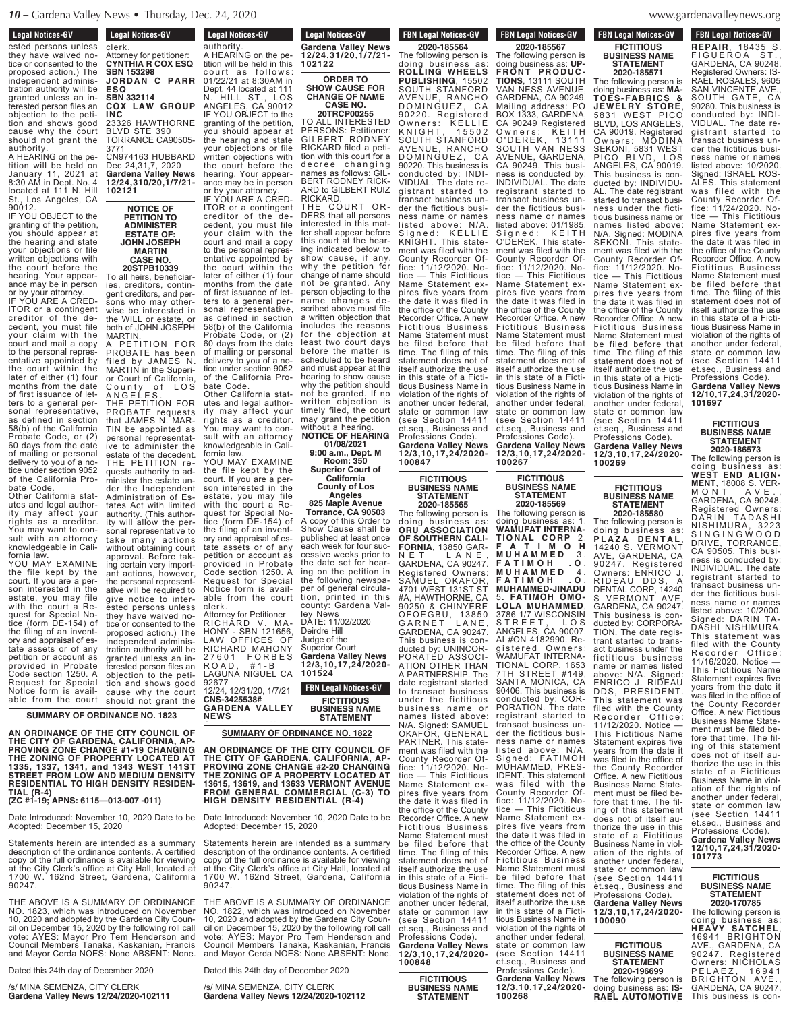**INC**

#### **Legal Notices-GV** Legal Nutices-GV

ested persons unless they have waived notice or consented to the proposed action.) The independent administration authority will be granted unless an interested person files an objection to the petition and shows good cause why the court should not grant the authority. A HEARING on the pe-

tition will be held on January 11, 2021 at 8:30 AM in Dept. No. 4 located at 111 N. Hill St., Los Angeles, CA  $90012$ 

IF YOU OBJECT to the granting of the petition, you should appear at the hearing and state your objections or file written objections with the court before the hearing. Your appearance may be in person or by your attorney.

IF YOU ARE A CRED-ITOR or a contingent creditor of the decedent, you must file your claim with the court and mail a copy to the personal representative appointed by the court within the later of either (1) four months from the date of first issuance of letters to a general personal representative, as defined in section 58(b) of the California Probate Code, or (2) 60 days from the date of mailing or personal delivery to you of a notice under section 9052 of the California Probate Code.

Other California statutes and legal authority may affect your rights as a creditor. You may want to consult with an attorney knowledgeable in California law.

YOU MAY EXAMINE the file kept by the court. If you are a person interested in the estate, you may file with the court a Request for Special Notice (form DE-154) of the filing of an inventory and appraisal of estate assets or of any petition or account as provided in Probate Code section 1250. A Request for Special Notice form is available from the court

#### **SUMMARY OF ORDINANCE NO. 1823** <u>SUMMARY OF ORDINANCE NO. 1823</u> clerk.

**AN ORDINANCE OF THE CITY COUNCIL OF** tition will be held in this **CYNTHIA R COX ESQ THE CITY OF GARDENA, CALIFORNIA, AP-PROVING ZONE CHANGE #1-19 CHANGING THE ZONING OF PROPERTY LOCATED AT 1335, 1337, 1341, and 1343 WEST 141ST** 1335, 1337, 1341, and 1343 WEST 141ST<br>STREET FROM LOW AND MEDIUM DENSITY **RESIDENTIAL TO HIGH DENSITY RESIDEN-TIAL (R-4)** TIAL (R-4)<br>(ZC #1-19; APNS: 6115—013-007 -011) IE CITY COUNCIL OF<br>|A, CALIFORNIA, AP-<br>GE #1-19 CHANGING ID MEDIUM DENSITY (ZC #1-19; APNS: 6115—013-007 -011) **SBN 153298** THE CITY OF GARDE **ESQ** 1335, 1337, 1341, a **STR** 

Date Introduced: November 10, 2020 Date to be Adopted: December 15, 2020  $\sqrt{2}$  objections or files ver 10, 2020 Date to be  $t_{\rm 020}$ Date Introduced: Nover Adopted: Decembe

Statements herein are intended as a summary description of the ordinance contents. A certified copy of the full ordinance is available for viewing at the City Clerk's office at City Hall, located at at the City Clerk's office at City Hall, located at<br>1700 W. 162nd Street, Gardena, California 90247. hearing. Your appearitended as a summary ce contents. A certil , Gardena, California Statements herein are **descript**i

THE ABOVE IS A SUMMARY OF ORDINANCE NO. 1823, which was introduced on November 10, 2020 and adopted by the Gardena City Coun-cil on December 15, 2020 by the following roll call vote: AYES: Mayor Pro Tem Henderson and Council Members Tanaka, Kaskanian, Francis Council Members Tanaka, Kaskanian, Francis<br>and Mayor Cerda NOES: None ABSENT: None. troduced on November the Gardena City Counby the following roll call None ABSEN1: None.

Dated this 24th day of December 2020 sember 2020

/s/ MINA SEMENZA, CITY CLERK **Gardena Valley News 12/24/2020-102111** Probate Code, or (2)  $\overline{S}$  CLERK  $\overline{S}$ 

**Legal Notices-GV** Legal Nutries-GV clerk. Attorney for petitioner: **CYNTHIA R COX ESQ SBN 153298 JORDAN C PARR ESQ SBN 332114 COX LAW GROUP** 23326 HAWTHORNE BLVD STE 390 TORRANCE CA90505- 3771

CN974163 HUBBARD Dec 24,31,7, 2020 **Gardena Valley News 12/24,310/20,1/7/21- 102121**

**NOTICE OF PETITION TO ADMINISTER ESTATE OF: JOHN JOSEPH MARTIN CASE NO. 20STPB10339** To all heirs, beneficiar-

**NEWS** ies, creditors, contingent creditors, and persons who may otherwise be interested in the WILL or estate, or both of JOHN JOSEPH MARTIN. A PETITION FOR PROBATE has been filed by JAMES N. MARTIN in the Superior Court of California, County of LOS A N G E L E S . THE PETITION FOR PROBATE requests that JAMES N. MAR-TIN be appointed as personal representative to administer the estate of the decedent. THE PETITION requests authority to administer the estate under the Independent Administration of Estates Act with limited authority. (This authority will allow the personal representative to take many actions without obtaining court approval. Before takcertain very important actions, however, the personal representative will be required to give notice to interested persons unless they have waived notice or consented to the proposed action.) The independent administration authority will be granted unless an interested person files an objection to the petition and shows good cause why the court should not grant the

**Legal Notices-GV Legal Notices-GV** authority. A HEARING on the petition will be held in this court as follows: 01/22/21 at 8:30AM in Dept. 44 located at 111 N. HILL ST., LOS ANGELES, CA 90012 IF YOU OBJECT to the granting of the petition, you should appear at the hearing and state

your objections or file written objections with the court before the hearing. Your appearance may be in person or by your attorney.

IF YOU ARE A CRED-ITOR or a contingent creditor of the decedent, you must file your claim with the court and mail a copy to the personal representative appointed by the court within the later of either (1) four months from the date of first issuance of letters to a general personal representative, as defined in section 58(b) of the California Probate Code, or (2) 60 days from the date of mailing or personal delivery to you of a notice under section 9052 of the California Probate Code.

Other California statutes and legal authority may affect your rights as a creditor. You may want to consult with an attorney knowledgeable in California law. YOU MAY EXAMINE the file kept by the court. If you are a person interested in the estate, you may file with the court a Request for Special Notice (form DE-154) of the filing of an inventory and appraisal of estate assets or of any petition or account as provided in Probate Code section 1250. A Request for Special Notice form is available from the court clerk. Attorney for Petitioner<br>RICHARD V. MA RICHARD HONY - SBN 121656, LAW OFFICES OF LAW OFFICES OF<br>RICHARD MAHONY 2 7 6 0 1 F O R B E S R O A D , # 1 - B

LAGUNA NIGUEL CA 92677 12/24, 12/31/20, 1/7/21 **CNS-3425538# GARDENA VALLEY**

**Gardena Valley News**

**AN ORDINANCE OF THE CITY COUNCIL OF** doing business as: **ROLLING WHEELS THE CITY OF GARDENA, CALIFORNIA, AP-PUBLISHING**, 15502 **PROVING ZONE CHANGE #2-20 CHANGING** PROVING ZONE CHANGE #2-20 CHANGING<br>THE ZONING OF A PROPERTY LOCATED AT **13615, 13619, and 13633 VERMONT AVENUE FROM GENERAL COMMERCIAL (C-3) TO HIGH DENSITY RESIDENTIAL (R-4)** PERIY LOCATED AT 3 VERMONT AVENUE 90220. Regi s tered EN ITAL (K-4)

Date Introduced: November 10, 2020 Date to be Adopted: December 15, 2020  $\mathbf{r}$   $\mathbf{r}$   $\mathbf{r}$   $\mathbf{r}$   $\mathbf{r}$   $\mathbf{r}$   $\mathbf{r}$   $\mathbf{r}$ er 10, 2020 Date to be  $2020$ 

Statements herein are intended as a summary description of the ordinance contents. A certified copy of the full ordinance is available for viewing at the City Clerk's office at City Hall, located at 1700 W. 162nd Street, Gardena, California 90247. D O M I N G U E Z , C A itended as a summary ce contents. A certified is available for viewing at City Hall, located at , Gardena, California

THE ABOVE IS A SUMMARY OF ORDINANCE NO. 1822, which was introduced on November 10, 2020 and adopted by the Gardena City Council on December 15, 2020 by the following roll call vote: AYES: Mayor Pro Tem Henderson and Council Members Tanaka, Kaskanian, Francis Council Members Tanaka, Kaskanian, Francis<br>and Mayor Cerda NOES: None ABSENT: None. IARY OF ORDINANCE roduced on November the Gardena City Counby the following roll call : None ABSENT: None.

Dated this 24th day of December 2020 pember 2020

/s/ MINA SEMENZA, CITY CLERK  $t = t$  of the  $t = t$ 

**Gardena Valley News 12/24/2020-102112** Recorder Office. A new

The following person is doing business as: **ROLLING WHEELS Legal Notices-GV** <u>Legar</u> **Gardena Valley News 12/24,31/20,1/7/21- 102122**

**FBN Legal Notices-GV Legal Notices-2020-185564**

**PUBLISHING**, 15502 SOUTH STANFORD AVENUE, RANCHO DOMINGUEZ, CA

(see Section 14411 et.seq., Business and Professions Code). **Gardena Valley News 12/3,10,17,24/2020-**

**FICTITIOUS BUSINESS NAME STATEMENT 2020-185565** The following person is doing business as: **ORU ASSOCIATION OF SOUTHERN CALI-FORNIA**, 13850 GAR-<br>N E T L A N E N E T L A N E , GARDENA, CA 90247. Registered Owners:

**100847**

**ORDER TO SHOW CAUSE FOR CHANGE OF NAME CASE NO.**

90220. Registered Owners: KELLIE K N I G H T , 155 0 2 SOUTH STANFORD AVENUE, RANCHO DOMINGUEZ, CA 90220. This business is conducted by: INDI-VIDUAL. The date registrant started to transact business under the fictitious business name or names<br>listed above: N/A.  $i$  is ted above: Signed: KELLIE KNIGHT. This statement was filed with the County Recorder Office: 11/12/2020. Notice — This Fictitious Name Statement expires five years from the date it was filed in the office of the County Recorder Office. A new Fictitious Business Name Statement must be filed before that time. The filing of this statement does not of itself authorize the use in this state of a Fictitious Business Name in violation of the rights of another under federal, state or common law **20TRCP00255** TO ALL INTERESTED PERSONS: Petitioner: GILBERT RODNEY RICKARD filed a petition with this court for a decree changing names as follows: GIL-BERT RODNEY RICK-ARD to GILBERT RUIZ RICKARD. THE COURT OR-DERS that all persons interested in this matter shall appear before this court at the hearing indicated below to show cause, if any why the petition for change of name should not be granted. Any person objecting to the name changes described above must file a written objection that includes the reasons for the objection at least two court days before the matter is scheduled to be heard and must appear at the hearing to show cause why the petition should not be granted. If no written objection is timely filed, the court

may grant the petition without a hearing. **NOTICE OF HEARING 01/08/2021 9:00 a.m., Dept. M Room: 350 Superior Court of California County of Los**

**Angeles 825 Maple Avenue Torrance, CA 90503**

A copy of this Order to Show Cause shall be published at least once each week for four successive weeks prior to the date set for hearing on the petition in the following newspaper of general circulation, printed in this county: Gardena Valley News DATE: 11/02/2020 Deirdre Hill Judge of the Superior Court



<u>SUMMARY OF OF</u>

**SUMMARY OF ORDINANCE NO. 1822 2020-185564 FBN Legal Notices-GV FICTITIOUS BUSINESS NAME STATEMENT** INANCE NO. 1822

SAMUEL OKAFOR, 4701 WEST 131ST ST #A, HAWTHORNE, CA 90250 & CHINYERE OFOEGBU, 1 3 8 5 0 GARNET LANE, GARDENA, CA 90247. This business is conducted by: UNINCOR-

PORATED ASSOCI-ATION OTHER THAN A PARTNERSHIP. The date registrant started to transact business under the fictitious business name or names listed above: N/A. Signed: SAMUEL OKAFOR, GENERAL PARTNER. This statement was filed with the County Recorder Office: 11/12/2020. Notice — This Fictitious Name Statement expires five years from the date it was filed in the office of the County Recorder Office. A new Fictitious Business Name Statement must be filed before that time. The filing of this statement does not of itself authorize the use in this state of a Fictitious Business Name in violation of the rights of another under federal, state or common law state Section 14411 et.seq., Business and Professions Code).

**Gardena Valley News 12/3,10,17,24/2020- 100848 FICTITIOUS**

**2020-185567**

**100268 BUSINESS NAME STATEMENT**

**FBN Legal Notices-GV FICTITIOUS FBN Legal Notices-GV BUSINESS NAME Legal Motices-2020-185567**

**BUSINESS NAME STATEMENT 2020-185571**

The following person is doing business as: **MA-TOES-FABRICS & JEWELRY STORE**, 5831 WEST PICO BLVD, LOS ANGELES, CA 90019. Registered Owners: MODINA SEKONI, 5831 WEST PICO BLVD, LOS ANGELES, CA 90019. This business is conducted by: INDIVIDU-AL. The date registrant started to transact business under the fictitious business name or names listed above: N/A. Signed: MODINA SEKONI. This statement was filed with the County Recorder Office: 11/12/2020. Notice — This Fictitious Name Statement expires five years from the date it was filed in the office of the County Recorder Office. A new Fictitious Business Name Statement must be filed before that time. The filing of this statement does not of itself authorize the use in this state of a Fictitious Business Name in violation of the rights of another under federal, state or common law (see Section 14411 et.seq., Business and Professions Code). **Gardena Valley News 12/3,10,17,24/2020-** The following person is doing business as: **UP-F RON T P ROD U C - TIONS**, 13111 SOUTH VAN NESS AVENUE, GARDENA, CA 90249. Mailing address: PO BOX 1333, GARDENA, CA 90249 Registered Owners: KEITH O'DEREK, 13111 SOUTH VAN NESS AVENUE, GARDENA, CA 90249. This business is conducted by: INDIVIDUAL. The date registrant started to transact business under the fictitious business name or names listed above: 01/1985.<br>Signed: KEITH Signed: KEITH O'DEREK. This statement was filed with the County Recorder Office: 11/12/2020. Notice — This Fictitious Name Statement expires five years from the date it was filed in the office of the County Recorder Office. A new Fictitious Business Name Statement must<br>be filed before that be filed before time. The filing of this statement does not of itself authorize the use in this state of a Fictitious Business Name in violation of the rights of another under federal, state or common law (see Section 14411 et.seq., Business and Professions Code). **Gardena Valley News**

**12/3,10,17,24/2020- 100267**

**FICTITIOUS BUSINESS NAME STATEMENT 2020-185569**

**100269**

**FICTITIOUS BUSINESS NAME STATEMENT 2020-185580** The following person is doing business as: **P L A Z A D E N T A L** , 14240 S. VERMONT AVE, GARDENA, CA 90247. Registered Owners: ENRICO J. RIDEAU DDS, A DENTAL CORP, 14240 S VERMONT AVE, GARDENA, CA 90247.

ducted by: CORPORA-TION. The date regis-

act business under the fictitious business

above: N/A. Signed: ENRICO J. RIDEAU

This statement was

Recorder Office: 11/12/2020. Notice — This Fictitious Name

was filed in the office of the County Recorder

fore that time. The fil-

thorize the use in this state of a Fictitious

ation of the rights of another under federal,

(see Section 14411 et.seq., Business and

**Gardena Valley News 12/3,10,17,24/2020-**

**FICTITIOUS**

This business is contrant started to transname or names listed DDS, PRESIDENT. filed with the County<br>Recorder Office: Statement expires five years from the date it Office. A new Fictitious Business Name Statement must be filed being of this statement does not of itself au-Business Name in violstate or common law Professions Code). **100090** The following person is doing business as: 1. **WAMUFAT INTERNA-TION A L COR P** 2 . **F A T I M O H M U H A M M E D** 3 . **F A T I M O H . O . M U H A M M E D** 4 **. F A T I M O H . O . MUHAMMED-JINADU** 5**. FATIMOH OMO-LOLA MUHAMMED**, 3786 1/7 WISCONSIN S T R E E T , L O S ANGELES, CA 90007. AI #ON 4182990. Registered Owners: WAMUFAT INTERNA-TIONAL CORP, 1653 7TH STREET #149, SANTA MONICA, CA 90406. This business is conducted by: COR-PORATION. The date registrant started to transact business under the fictitious business name or names listed above: N/A. Signed: FATIMOH MUHAMMED, PRES-IDENT. This statement was filed with the County Recorder Office: 11/12/2020. Notice — This Fictitious Name Statement expires five years from the date it was filed in the office of the County Recorder Office. A new Fictitious Business Name Statement must be filed before that time. The filing of this statement does not of itself authorize the use in this state of a Fictitious Business Name in violation of the rights of another under federal,<br>state or common law (see Section 14411 et.seq., Business and Professions Code). **Gardena Valley News**

**12/3,10,17,24/2020-**

### **2020-196699**  $\frac{1}{2}$

 $R$  **FBN** Legal Notices-GV **REPAIR**, 18435 S. FIGUEROA ST., GARDENA, CA 90248. Registered Owners: IS-RAEL ROSALES, 9605 SAN VINCENTE AVE. SOUTH GATE, CA 90280. This business is conducted by: INDI-VIDUAL. The date registrant started to transact business under the fictitious business name or names listed above: 10/2020. Signed: ISRAEL ROS-ALES. This statement was filed with the County Recorder Office: 11/24/2020. Notice — This Fictitious Name Statement expires five years from the date it was filed in the office of the County Recorder Office. A new Fictitious Business Name Statement must be filed before that time. The filing of this statement does not of itself authorize the use in this state of a Fictitious Business Name in violation of the rights of another under federal, state or common law (see Section 14411 et.seq., Business and Professions Code).

**Gardena Valley News 12/10,17,24,31/2020- 101697**

#### **FICTITIOUS BUSINESS NAME STATEMENT 2020-186573**

The following person is doing business as: **WEST END ALIGN-MENT**, 18008 S. VER-M O N T A V E . , GARDENA, CA 90248. Registered Owners: DARIN TADASHI NISHIMURA, 3223 S I N G I N G W O O D DRIVE, TORRANCE, CA 90505. This business is conducted by: INDIVIDUAL. The date registrant started to transact business under the fictitious business name or names listed above: 10/2000. Signed: DARIN TA-DASHI NISHIMURA. This statement was filed with the County<br>Recorder Office: Recorder Office: 11/16/2020. Notice — This Fictitious Name Statement expires five years from the date it was filed in the office of the County Recorder Office. A new Fictitious Business Name Statement must be filed before that time. The filing of this statement does not of itself authorize the use in this state of a Fictitious Business Name in violation of the rights of another under federal, state or common law (see Section 14411 et.seq., Business and Professions Code). **Gardena Valley News 12/10,17,24,31/2020- 101773**

### **FICTITIOUS BUSINESS NAME STATEMENT 2020-170785**

The following person is doing business as: **HEAVY SATCHEL**, 16941 BRIGHTON AVE., GARDENA, CA 90247. Registered Owners: NICHOLAS P E L A E Z , 1 6 9 4 1 BRIGHTON AVE., GARDENA, CA 90247.

**BUSINESS NAME STATEMENT 2020-196699** The following person is

**RAEL AUTOMOTIVE** This business is condoing business as: **IS-**